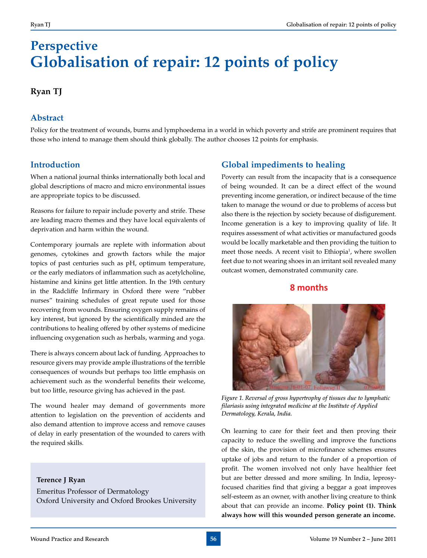# **Perspective Globalisation of repair: 12 points of policy**

## **Ryan TJ**

## **Abstract**

Policy for the treatment of wounds, burns and lymphoedema in a world in which poverty and strife are prominent requires that those who intend to manage them should think globally. The author chooses 12 points for emphasis.

# **Introduction**

When a national journal thinks internationally both local and global descriptions of macro and micro environmental issues are appropriate topics to be discussed.

Reasons for failure to repair include poverty and strife. These are leading macro themes and they have local equivalents of deprivation and harm within the wound.

Contemporary journals are replete with information about genomes, cytokines and growth factors while the major topics of past centuries such as pH, optimum temperature, or the early mediators of inflammation such as acetylcholine, histamine and kinins get little attention. In the 19th century in the Radcliffe Infirmary in Oxford there were "rubber nurses" training schedules of great repute used for those recovering from wounds. Ensuring oxygen supply remains of key interest, but ignored by the scientifically minded are the contributions to healing offered by other systems of medicine influencing oxygenation such as herbals, warming and yoga.

There is always concern about lack of funding. Approaches to resource givers may provide ample illustrations of the terrible consequences of wounds but perhaps too little emphasis on achievement such as the wonderful benefits their welcome, but too little, resource giving has achieved in the past.

The wound healer may demand of governments more attention to legislation on the prevention of accidents and also demand attention to improve access and remove causes of delay in early presentation of the wounded to carers with the required skills.

### **Terence J Ryan**

Emeritus Professor of Dermatology Oxford University and Oxford Brookes University

# **Global impediments to healing**

Poverty can result from the incapacity that is a consequence of being wounded. It can be a direct effect of the wound preventing income generation, or indirect because of the time taken to manage the wound or due to problems of access but also there is the rejection by society because of disfigurement. Income generation is a key to improving quality of life. It requires assessment of what activities or manufactured goods would be locally marketable and then providing the tuition to meet those needs. A recent visit to Ethiopia<sup>1</sup>, where swollen feet due to not wearing shoes in an irritant soil revealed many outcast women, demonstrated community care.

# **8** months



*Figure 1. Reversal of gross hypertrophy of tissues due to lymphatic filariasis using integrated medicine at the Institute of Applied Dermatology, Kerala, India.*

On learning to care for their feet and then proving their capacity to reduce the swelling and improve the functions of the skin, the provision of microfinance schemes ensures uptake of jobs and return to the funder of a proportion of profit. The women involved not only have healthier feet but are better dressed and more smiling. In India, leprosyfocused charities find that giving a beggar a goat improves self-esteem as an owner, with another living creature to think about that can provide an income. **Policy point (1). Think always how will this wounded person generate an income.**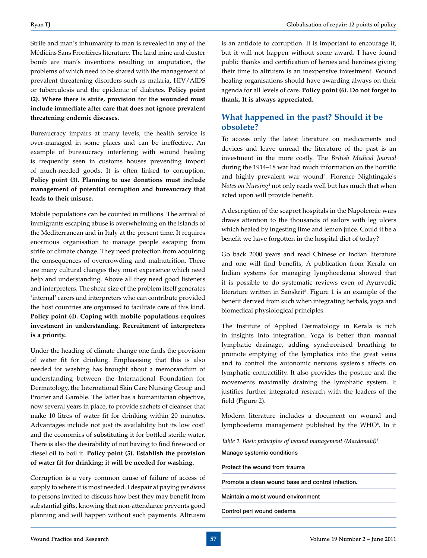Strife and man's inhumanity to man is revealed in any of the Médicins Sans Frontières literature. The land mine and cluster bomb are man's inventions resulting in amputation, the problems of which need to be shared with the management of prevalent threatening disorders such as malaria, HIV/AIDS or tuberculosis and the epidemic of diabetes. **Policy point (2). Where there is strife, provision for the wounded must include immediate after care that does not ignore prevalent threatening endemic diseases.**

Bureaucracy impairs at many levels, the health service is over-managed in some places and can be ineffective. An example of bureaucracy interfering with wound healing is frequently seen in customs houses preventing import of much-needed goods. It is often linked to corruption. **Policy point (3). Planning to use donations must include management of potential corruption and bureaucracy that leads to their misuse.**

Mobile populations can be counted in millions. The arrival of immigrants escaping abuse is overwhelming on the islands of the Mediterranean and in Italy at the present time. It requires enormous organisation to manage people escaping from strife or climate change. They need protection from acquiring the consequences of overcrowding and malnutrition. There are many cultural changes they must experience which need help and understanding. Above all they need good listeners and interpreters. The shear size of the problem itself generates 'internal' carers and interpreters who can contribute provided the host countries are organised to facilitate care of this kind. **Policy point (4). Coping with mobile populations requires investment in understanding. Recruitment of interpreters is a priority.**

Under the heading of climate change one finds the provision of water fit for drinking. Emphasising that this is also needed for washing has brought about a memorandum of understanding between the International Foundation for Dermatology, the International Skin Care Nursing Group and Procter and Gamble. The latter has a humanitarian objective, now several years in place, to provide sachets of cleanser that make 10 litres of water fit for drinking within 20 minutes. Advantages include not just its availability but its low cost<sup>2</sup> and the economics of substituting it for bottled sterile water. There is also the desirability of not having to find firewood or diesel oil to boil it. **Policy point (5). Establish the provision of water fit for drinking; it will be needed for washing.**

Corruption is a very common cause of failure of access of supply to where it is most needed. I despair at paying *per diems*  to persons invited to discuss how best they may benefit from substantial gifts, knowing that non-attendance prevents good planning and will happen without such payments. Altruism

is an antidote to corruption. It is important to encourage it, but it will not happen without some award. I have found public thanks and certification of heroes and heroines giving their time to altruism is an inexpensive investment. Wound healing organisations should have awarding always on their agenda for all levels of care. **Policy point (6). Do not forget to thank. It is always appreciated.**

# **What happened in the past? Should it be obsolete?**

To access only the latest literature on medicaments and devices and leave unread the literature of the past is an investment in the more costly. The *British Medical Journal*  during the 1914–18 war had much information on the horrific and highly prevalent war wound<sup>3</sup>. Florence Nightingale's *Notes on Nursing*<sup>4</sup> not only reads well but has much that when acted upon will provide benefit.

A description of the seaport hospitals in the Napoleonic wars draws attention to the thousands of sailors with leg ulcers which healed by ingesting lime and lemon juice. Could it be a benefit we have forgotten in the hospital diet of today?

Go back 2000 years and read Chinese or Indian literature and one will find benefits, A publication from Kerala on Indian systems for managing lymphoedema showed that it is possible to do systematic reviews even of Ayurvedic literature written in Sanskrit<sup>5</sup>. Figure 1 is an example of the benefit derived from such when integrating herbals, yoga and biomedical physiological principles.

The Institute of Applied Dermatology in Kerala is rich in insights into integration. Yoga is better than manual lymphatic drainage, adding synchronised breathing to promote emptying of the lymphatics into the great veins and to control the autonomic nervous system's affects on lymphatic contractility. It also provides the posture and the movements maximally draining the lymphatic system. It justifies further integrated research with the leaders of the field (Figure 2).

Modern literature includes a document on wound and lymphoedema management published by the WHO<sup>6</sup>. In it

*Table 1. Basic principles of wound management (Macdonald)6 .*

Manage systemic conditions

Protect the wound from trauma

Promote a clean wound base and control infection.

Maintain a moist wound environment

Control peri wound oedema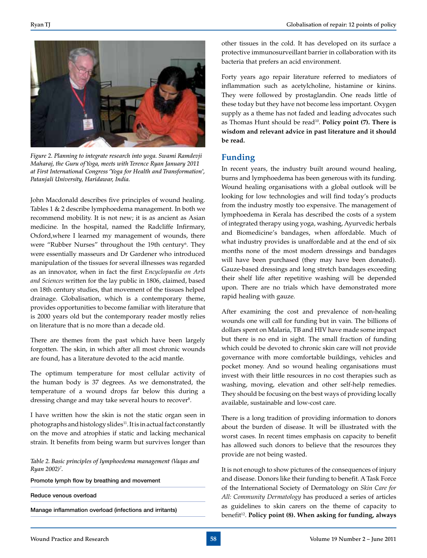

*Figure 2. Planning to integrate research into yoga. Swami Ramdevji Maharaj, the Guru of Yoga, meets with Terence Ryan January 2011 at First International Congress 'Yoga for Health and Transformation', Patanjali University, Haridawar, India.*

John Macdonald describes five principles of wound healing. Tables 1 & 2 describe lymphoedema management. In both we recommend mobility. It is not new; it is as ancient as Asian medicine. In the hospital, named the Radcliffe Infirmary, Oxford,where I learned my management of wounds, there were "Rubber Nurses" throughout the 19th century<sup>6</sup>. They were essentially masseurs and Dr Gardener who introduced manipulation of the tissues for several illnesses was regarded as an innovator, when in fact the first *Encyclopaedia on Arts and Sciences* written for the lay public in 1806, claimed, based on 18th century studies, that movement of the tissues helped drainage. Globalisation, which is a contemporary theme, provides opportunities to become familiar with literature that is 2000 years old but the contemporary reader mostly relies on literature that is no more than a decade old.

There are themes from the past which have been largely forgotten. The skin, in which after all most chronic wounds are found, has a literature devoted to the acid mantle.

The optimum temperature for most cellular activity of the human body is 37 degrees. As we demonstrated, the temperature of a wound drops far below this during a dressing change and may take several hours to recover<sup>8</sup>.

I have written how the skin is not the static organ seen in photographs and histology slides<sup>11</sup>. It is in actual fact constantly on the move and atrophies if static and lacking mechanical strain. It benefits from being warm but survives longer than

*Table 2. Basic principles of lymphoedema management (Vaqas and Ryan 2002)7 .*

Promote lymph flow by breathing and movement

Reduce venous overload

Manage inflammation overload (infections and irritants)

other tissues in the cold. It has developed on its surface a protective immunosurveillant barrier in collaboration with its bacteria that prefers an acid environment.

Forty years ago repair literature referred to mediators of inflammation such as acetylcholine, histamine or kinins. They were followed by prostaglandin. One reads little of these today but they have not become less important. Oxygen supply as a theme has not faded and leading advocates such as Thomas Hunt should be read<sup>10</sup>. **Policy point (7). There is wisdom and relevant advice in past literature and it should be read.**

#### **Funding**

In recent years, the industry built around wound healing, burns and lymphoedema has been generous with its funding. Wound healing organisations with a global outlook will be looking for low technologies and will find today's products from the industry mostly too expensive. The management of lymphoedema in Kerala has described the costs of a system of integrated therapy using yoga, washing, Ayurvedic herbals and Biomedicine's bandages, when affordable. Much of what industry provides is unaffordable and at the end of six months none of the most modern dressings and bandages will have been purchased (they may have been donated). Gauze-based dressings and long stretch bandages exceeding their shelf life after repetitive washing will be depended upon. There are no trials which have demonstrated more rapid healing with gauze.

After examining the cost and prevalence of non-healing wounds one will call for funding but in vain. The billions of dollars spent on Malaria, TB and HIV have made some impact but there is no end in sight. The small fraction of funding which could be devoted to chronic skin care will not provide governance with more comfortable buildings, vehicles and pocket money. And so wound healing organisations must invest with their little resources in no cost therapies such as washing, moving, elevation and other self-help remedies. They should be focusing on the best ways of providing locally available, sustainable and low-cost care.

There is a long tradition of providing information to donors about the burden of disease. It will be illustrated with the worst cases. In recent times emphasis on capacity to benefit has allowed such donors to believe that the resources they provide are not being wasted.

It is not enough to show pictures of the consequences of injury and disease. Donors like their funding to benefit. A Task Force of the International Society of Dermatology on *Skin Care for All: Community Dermatology* has produced a series of articles as guidelines to skin carers on the theme of capacity to benefit<sup>12</sup>. Policy point (8). When asking for funding, always